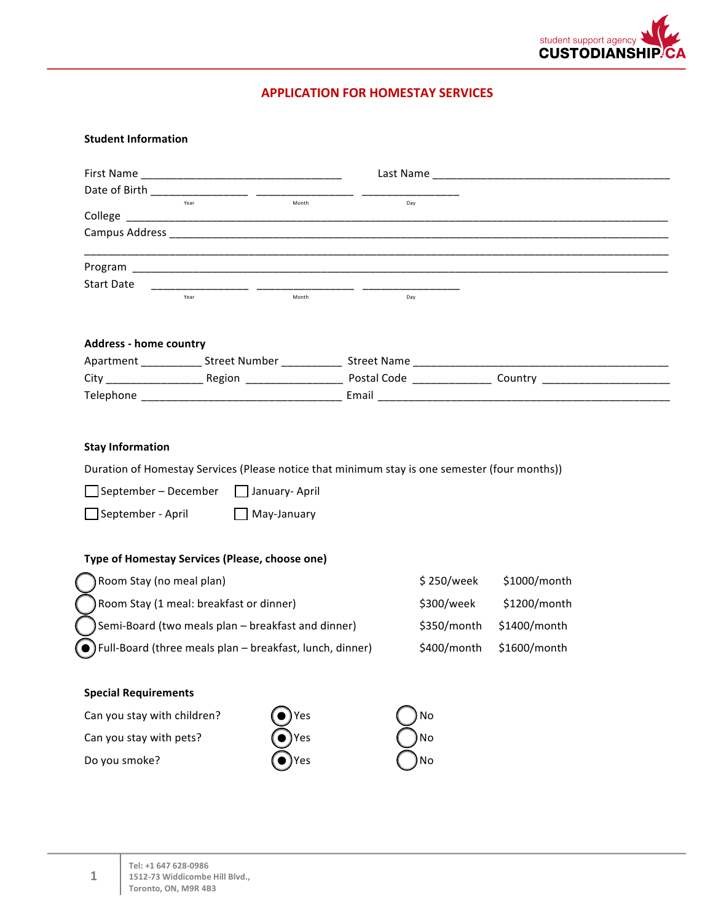

## **APPLICATION FOR HOMESTAY SERVICES**

## **Student Information**

|                                                                                                                                                                                                                                |                                                    | <b>First Name Example 2018</b> |  |             |              |  |
|--------------------------------------------------------------------------------------------------------------------------------------------------------------------------------------------------------------------------------|----------------------------------------------------|--------------------------------|--|-------------|--------------|--|
|                                                                                                                                                                                                                                |                                                    |                                |  |             |              |  |
| College                                                                                                                                                                                                                        | Vear                                               | Month                          |  | Day         |              |  |
|                                                                                                                                                                                                                                |                                                    |                                |  |             |              |  |
|                                                                                                                                                                                                                                |                                                    |                                |  |             |              |  |
| Program and the contract of the contract of the contract of the contract of the contract of the contract of the contract of the contract of the contract of the contract of the contract of the contract of the contract of th |                                                    |                                |  |             |              |  |
| Start Date                                                                                                                                                                                                                     | Year                                               | Month                          |  | Day         |              |  |
| <b>Address - home country</b>                                                                                                                                                                                                  |                                                    |                                |  |             |              |  |
|                                                                                                                                                                                                                                |                                                    |                                |  |             |              |  |
|                                                                                                                                                                                                                                |                                                    |                                |  |             |              |  |
|                                                                                                                                                                                                                                |                                                    |                                |  |             |              |  |
| $\Box$ September – December $\Box$ January-April                                                                                                                                                                               |                                                    |                                |  |             |              |  |
| $\Box$ September - April                                                                                                                                                                                                       |                                                    | May-January                    |  |             |              |  |
|                                                                                                                                                                                                                                |                                                    |                                |  |             |              |  |
| Room Stay (no meal plan)                                                                                                                                                                                                       |                                                    |                                |  | \$250/week  | \$1000/month |  |
|                                                                                                                                                                                                                                | Room Stay (1 meal: breakfast or dinner)            |                                |  | \$300/week  | \$1200/month |  |
|                                                                                                                                                                                                                                | Semi-Board (two meals plan - breakfast and dinner) |                                |  | \$350/month | \$1400/month |  |
| Full-Board (three meals plan - breakfast, lunch, dinner)                                                                                                                                                                       |                                                    |                                |  | \$400/month | \$1600/month |  |
|                                                                                                                                                                                                                                |                                                    |                                |  |             |              |  |
| Duration of Homestay Services (Please notice that minimum stay is one semester (four months))<br>Type of Homestay Services (Please, choose one)<br><b>Special Requirements</b><br>Can you stay with children?                  |                                                    | Yes                            |  | No          |              |  |
| Can you stay with pets?                                                                                                                                                                                                        |                                                    | Yes                            |  | No          |              |  |